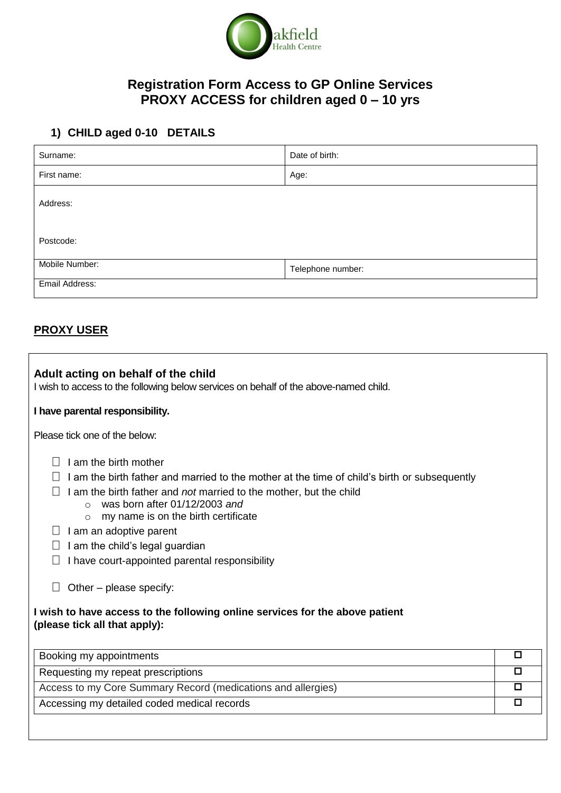

## **Registration Form Access to GP Online Services PROXY ACCESS for children aged 0 – 10 yrs**

# **1) CHILD aged 0-10 DETAILS**

| Surname:       | Date of birth:    |  |  |
|----------------|-------------------|--|--|
| First name:    | Age:              |  |  |
| Address:       |                   |  |  |
| Postcode:      |                   |  |  |
| Mobile Number: | Telephone number: |  |  |
| Email Address: |                   |  |  |

### **PROXY USER**

| Adult acting on behalf of the child<br>I wish to access to the following below services on behalf of the above-named child.                                                                                                                                                                                                                                                                                                                                                                                                                               |        |  |  |
|-----------------------------------------------------------------------------------------------------------------------------------------------------------------------------------------------------------------------------------------------------------------------------------------------------------------------------------------------------------------------------------------------------------------------------------------------------------------------------------------------------------------------------------------------------------|--------|--|--|
| I have parental responsibility.                                                                                                                                                                                                                                                                                                                                                                                                                                                                                                                           |        |  |  |
| Please tick one of the below:                                                                                                                                                                                                                                                                                                                                                                                                                                                                                                                             |        |  |  |
| I am the birth mother<br>I am the birth father and married to the mother at the time of child's birth or subsequently<br>I am the birth father and not married to the mother, but the child<br>was born after 01/12/2003 and<br>$\bigcirc$<br>my name is on the birth certificate<br>$\Omega$<br>I am an adoptive parent<br>I am the child's legal guardian<br>I have court-appointed parental responsibility<br>Other – please specify:<br>I wish to have access to the following online services for the above patient<br>(please tick all that apply): |        |  |  |
| Booking my appointments                                                                                                                                                                                                                                                                                                                                                                                                                                                                                                                                   | $\Box$ |  |  |
| Requesting my repeat prescriptions                                                                                                                                                                                                                                                                                                                                                                                                                                                                                                                        | □      |  |  |
| Access to my Core Summary Record (medications and allergies)                                                                                                                                                                                                                                                                                                                                                                                                                                                                                              |        |  |  |
| Accessing my detailed coded medical records                                                                                                                                                                                                                                                                                                                                                                                                                                                                                                               |        |  |  |
|                                                                                                                                                                                                                                                                                                                                                                                                                                                                                                                                                           |        |  |  |